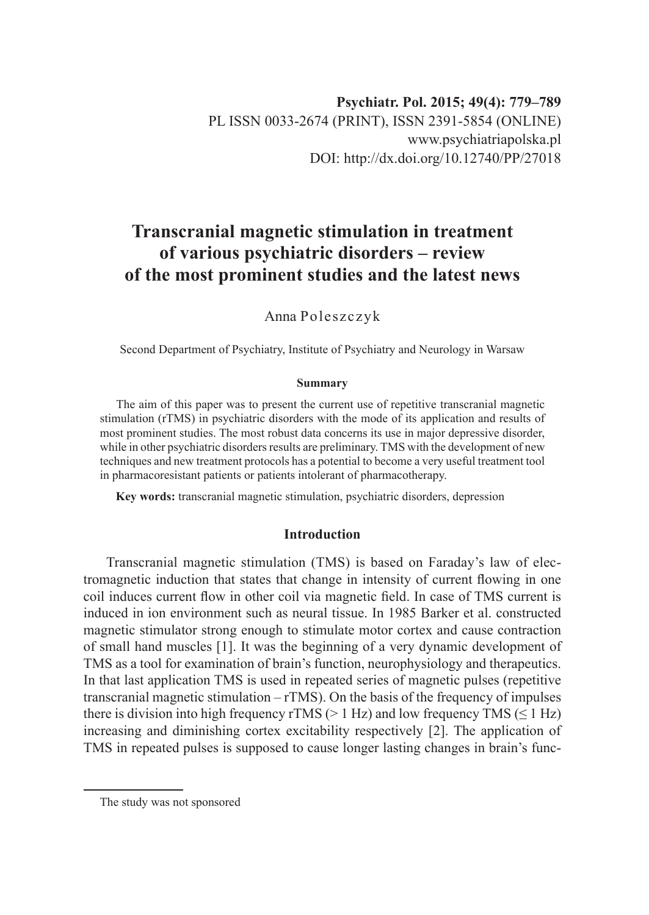# **Transcranial magnetic stimulation in treatment of various psychiatric disorders – review of the most prominent studies and the latest news**

Anna Poleszczyk

Second Department of Psychiatry, Institute of Psychiatry and Neurology in Warsaw

#### **Summary**

The aim of this paper was to present the current use of repetitive transcranial magnetic stimulation (rTMS) in psychiatric disorders with the mode of its application and results of most prominent studies. The most robust data concerns its use in major depressive disorder, while in other psychiatric disorders results are preliminary. TMS with the development of new techniques and new treatment protocols has a potential to become a very useful treatment tool in pharmacoresistant patients or patients intolerant of pharmacotherapy.

**Key words:** transcranial magnetic stimulation, psychiatric disorders, depression

#### **Introduction**

Transcranial magnetic stimulation (TMS) is based on Faraday's law of electromagnetic induction that states that change in intensity of current flowing in one coil induces current flow in other coil via magnetic field. In case of TMS current is induced in ion environment such as neural tissue. In 1985 Barker et al. constructed magnetic stimulator strong enough to stimulate motor cortex and cause contraction of small hand muscles [1]. It was the beginning of a very dynamic development of TMS as a tool for examination of brain's function, neurophysiology and therapeutics. In that last application TMS is used in repeated series of magnetic pulses (repetitive transcranial magnetic stimulation  $-$  rTMS). On the basis of the frequency of impulses there is division into high frequency rTMS ( $> 1$  Hz) and low frequency TMS ( $\leq 1$  Hz) increasing and diminishing cortex excitability respectively [2]. The application of TMS in repeated pulses is supposed to cause longer lasting changes in brain's func-

The study was not sponsored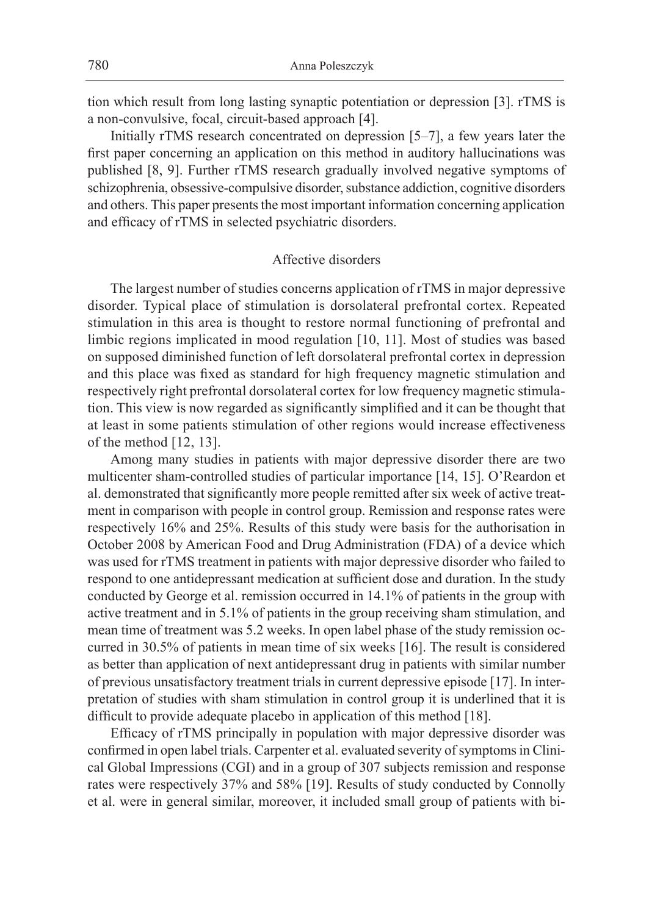tion which result from long lasting synaptic potentiation or depression [3]. rTMS is a non-convulsive, focal, circuit-based approach [4].

Initially rTMS research concentrated on depression [5–7], a few years later the first paper concerning an application on this method in auditory hallucinations was published [8, 9]. Further rTMS research gradually involved negative symptoms of schizophrenia, obsessive-compulsive disorder, substance addiction, cognitive disorders and others. This paper presents the most important information concerning application and efficacy of rTMS in selected psychiatric disorders.

## Affective disorders

The largest number of studies concerns application of rTMS in major depressive disorder. Typical place of stimulation is dorsolateral prefrontal cortex. Repeated stimulation in this area is thought to restore normal functioning of prefrontal and limbic regions implicated in mood regulation [10, 11]. Most of studies was based on supposed diminished function of left dorsolateral prefrontal cortex in depression and this place was fixed as standard for high frequency magnetic stimulation and respectively right prefrontal dorsolateral cortex for low frequency magnetic stimulation. This view is now regarded as significantly simplified and it can be thought that at least in some patients stimulation of other regions would increase effectiveness of the method [12, 13].

Among many studies in patients with major depressive disorder there are two multicenter sham-controlled studies of particular importance [14, 15]. O'Reardon et al. demonstrated that significantly more people remitted after six week of active treatment in comparison with people in control group. Remission and response rates were respectively 16% and 25%. Results of this study were basis for the authorisation in October 2008 by American Food and Drug Administration (FDA) of a device which was used for rTMS treatment in patients with major depressive disorder who failed to respond to one antidepressant medication at sufficient dose and duration. In the study conducted by George et al. remission occurred in 14.1% of patients in the group with active treatment and in 5.1% of patients in the group receiving sham stimulation, and mean time of treatment was 5.2 weeks. In open label phase of the study remission occurred in 30.5% of patients in mean time of six weeks [16]. The result is considered as better than application of next antidepressant drug in patients with similar number of previous unsatisfactory treatment trials in current depressive episode [17]. In interpretation of studies with sham stimulation in control group it is underlined that it is difficult to provide adequate placebo in application of this method [18].

Efficacy of rTMS principally in population with major depressive disorder was confirmed in open label trials. Carpenter et al. evaluated severity of symptoms in Clinical Global Impressions (CGI) and in a group of 307 subjects remission and response rates were respectively 37% and 58% [19]. Results of study conducted by Connolly et al. were in general similar, moreover, it included small group of patients with bi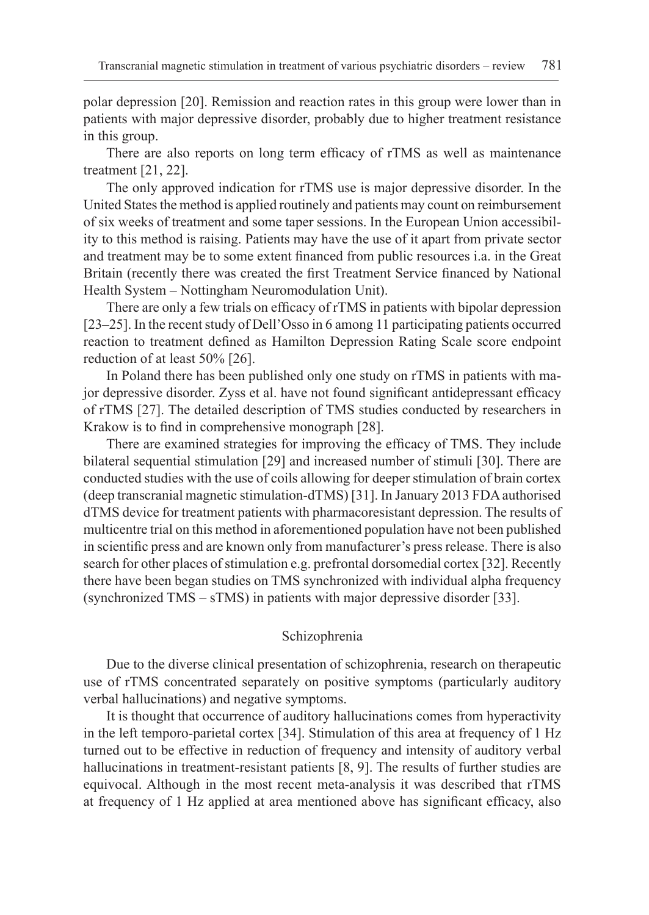polar depression [20]. Remission and reaction rates in this group were lower than in patients with major depressive disorder, probably due to higher treatment resistance in this group.

There are also reports on long term efficacy of rTMS as well as maintenance treatment [21, 22].

The only approved indication for rTMS use is major depressive disorder. In the United States the method is applied routinely and patients may count on reimbursement of six weeks of treatment and some taper sessions. In the European Union accessibility to this method is raising. Patients may have the use of it apart from private sector and treatment may be to some extent financed from public resources i.a. in the Great Britain (recently there was created the first Treatment Service financed by National Health System – Nottingham Neuromodulation Unit).

There are only a few trials on efficacy of rTMS in patients with bipolar depression [23–25]. In the recent study of Dell'Osso in 6 among 11 participating patients occurred reaction to treatment defined as Hamilton Depression Rating Scale score endpoint reduction of at least 50% [26].

In Poland there has been published only one study on rTMS in patients with major depressive disorder. Zyss et al. have not found significant antidepressant efficacy of rTMS [27]. The detailed description of TMS studies conducted by researchers in Krakow is to find in comprehensive monograph [28].

There are examined strategies for improving the efficacy of TMS. They include bilateral sequential stimulation [29] and increased number of stimuli [30]. There are conducted studies with the use of coils allowing for deeper stimulation of brain cortex (deep transcranial magnetic stimulation-dTMS) [31]. In January 2013 FDA authorised dTMS device for treatment patients with pharmacoresistant depression. The results of multicentre trial on this method in aforementioned population have not been published in scientific press and are known only from manufacturer's press release. There is also search for other places of stimulation e.g. prefrontal dorsomedial cortex [32]. Recently there have been began studies on TMS synchronized with individual alpha frequency (synchronized TMS – sTMS) in patients with major depressive disorder [33].

### Schizophrenia

Due to the diverse clinical presentation of schizophrenia, research on therapeutic use of rTMS concentrated separately on positive symptoms (particularly auditory verbal hallucinations) and negative symptoms.

It is thought that occurrence of auditory hallucinations comes from hyperactivity in the left temporo-parietal cortex [34]. Stimulation of this area at frequency of 1 Hz turned out to be effective in reduction of frequency and intensity of auditory verbal hallucinations in treatment-resistant patients [8, 9]. The results of further studies are equivocal. Although in the most recent meta-analysis it was described that rTMS at frequency of 1 Hz applied at area mentioned above has significant efficacy, also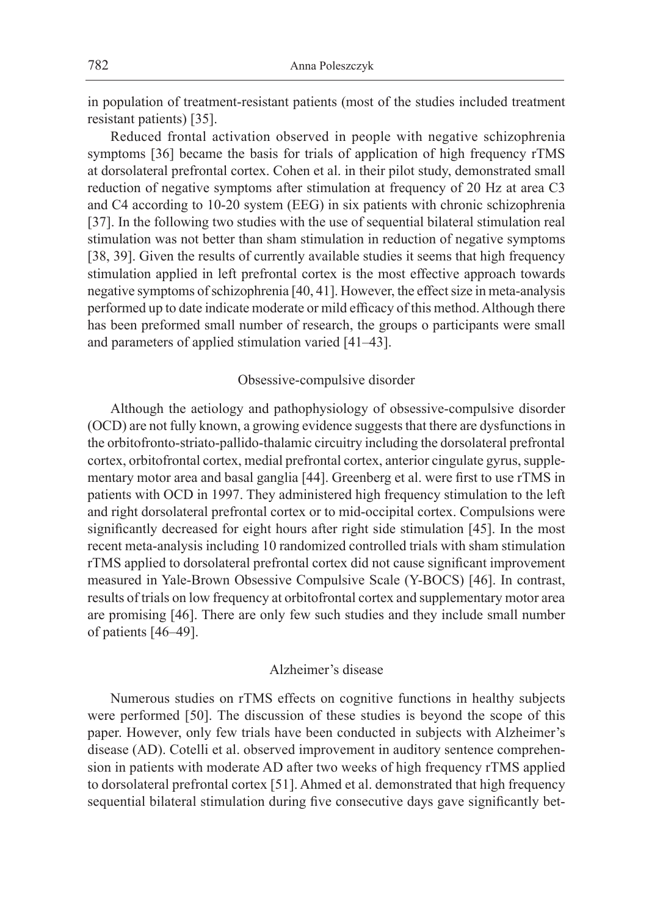in population of treatment-resistant patients (most of the studies included treatment resistant patients) [35].

Reduced frontal activation observed in people with negative schizophrenia symptoms [36] became the basis for trials of application of high frequency rTMS at dorsolateral prefrontal cortex. Cohen et al. in their pilot study, demonstrated small reduction of negative symptoms after stimulation at frequency of 20 Hz at area C3 and C4 according to 10-20 system (EEG) in six patients with chronic schizophrenia [37]. In the following two studies with the use of sequential bilateral stimulation real stimulation was not better than sham stimulation in reduction of negative symptoms [38, 39]. Given the results of currently available studies it seems that high frequency stimulation applied in left prefrontal cortex is the most effective approach towards negative symptoms of schizophrenia [40, 41]. However, the effect size in meta-analysis performed up to date indicate moderate or mild efficacy of this method. Although there has been preformed small number of research, the groups o participants were small and parameters of applied stimulation varied [41–43].

#### Obsessive-compulsive disorder

Although the aetiology and pathophysiology of obsessive-compulsive disorder (OCD) are not fully known, a growing evidence suggests that there are dysfunctions in the orbitofronto-striato-pallido-thalamic circuitry including the dorsolateral prefrontal cortex, orbitofrontal cortex, medial prefrontal cortex, anterior cingulate gyrus, supplementary motor area and basal ganglia [44]. Greenberg et al. were first to use rTMS in patients with OCD in 1997. They administered high frequency stimulation to the left and right dorsolateral prefrontal cortex or to mid-occipital cortex. Compulsions were significantly decreased for eight hours after right side stimulation [45]. In the most recent meta-analysis including 10 randomized controlled trials with sham stimulation rTMS applied to dorsolateral prefrontal cortex did not cause significant improvement measured in Yale-Brown Obsessive Compulsive Scale (Y-BOCS) [46]. In contrast, results of trials on low frequency at orbitofrontal cortex and supplementary motor area are promising [46]. There are only few such studies and they include small number of patients [46–49].

#### Alzheimer's disease

Numerous studies on rTMS effects on cognitive functions in healthy subjects were performed [50]. The discussion of these studies is beyond the scope of this paper. However, only few trials have been conducted in subjects with Alzheimer's disease (AD). Cotelli et al. observed improvement in auditory sentence comprehension in patients with moderate AD after two weeks of high frequency rTMS applied to dorsolateral prefrontal cortex [51]. Ahmed et al. demonstrated that high frequency sequential bilateral stimulation during five consecutive days gave significantly bet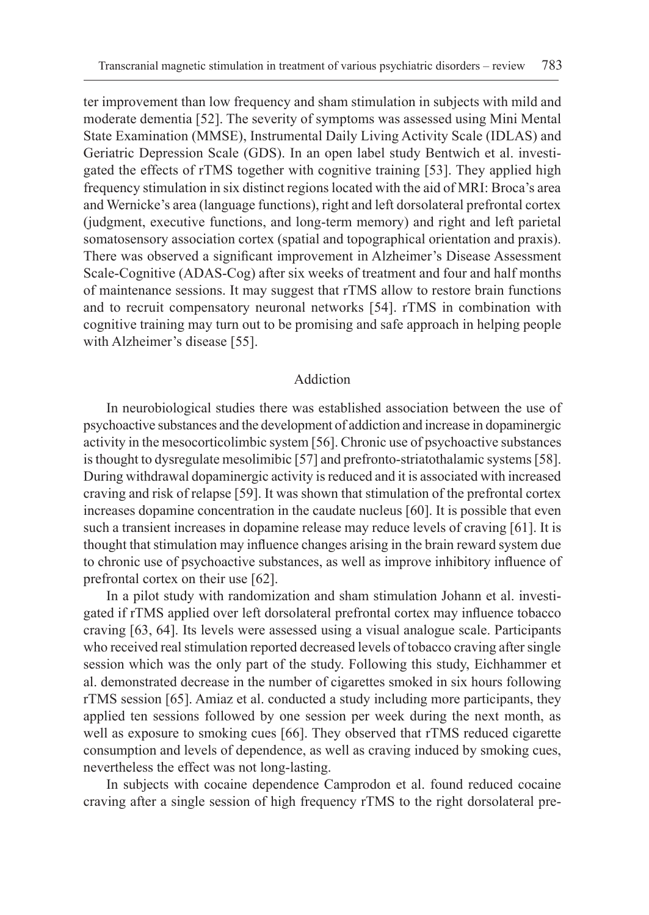ter improvement than low frequency and sham stimulation in subjects with mild and moderate dementia [52]. The severity of symptoms was assessed using Mini Mental State Examination (MMSE), Instrumental Daily Living Activity Scale (IDLAS) and Geriatric Depression Scale (GDS). In an open label study Bentwich et al. investigated the effects of rTMS together with cognitive training [53]. They applied high frequency stimulation in six distinct regions located with the aid of MRI: Broca's area and Wernicke's area (language functions), right and left dorsolateral prefrontal cortex (judgment, executive functions, and long-term memory) and right and left parietal somatosensory association cortex (spatial and topographical orientation and praxis). There was observed a significant improvement in Alzheimer's Disease Assessment Scale-Cognitive (ADAS-Cog) after six weeks of treatment and four and half months of maintenance sessions. It may suggest that rTMS allow to restore brain functions and to recruit compensatory neuronal networks [54]. rTMS in combination with cognitive training may turn out to be promising and safe approach in helping people with Alzheimer's disease [55].

## Addiction

In neurobiological studies there was established association between the use of psychoactive substances and the development of addiction and increase in dopaminergic activity in the mesocorticolimbic system [56]. Chronic use of psychoactive substances is thought to dysregulate mesolimibic [57] and prefronto-striatothalamic systems [58]. During withdrawal dopaminergic activity is reduced and it is associated with increased craving and risk of relapse [59]. It was shown that stimulation of the prefrontal cortex increases dopamine concentration in the caudate nucleus [60]. It is possible that even such a transient increases in dopamine release may reduce levels of craving [61]. It is thought that stimulation may influence changes arising in the brain reward system due to chronic use of psychoactive substances, as well as improve inhibitory influence of prefrontal cortex on their use [62].

In a pilot study with randomization and sham stimulation Johann et al. investigated if rTMS applied over left dorsolateral prefrontal cortex may influence tobacco craving [63, 64]. Its levels were assessed using a visual analogue scale. Participants who received real stimulation reported decreased levels of tobacco craving after single session which was the only part of the study. Following this study, Eichhammer et al. demonstrated decrease in the number of cigarettes smoked in six hours following rTMS session [65]. Amiaz et al. conducted a study including more participants, they applied ten sessions followed by one session per week during the next month, as well as exposure to smoking cues [66]. They observed that rTMS reduced cigarette consumption and levels of dependence, as well as craving induced by smoking cues, nevertheless the effect was not long-lasting.

In subjects with cocaine dependence Camprodon et al. found reduced cocaine craving after a single session of high frequency rTMS to the right dorsolateral pre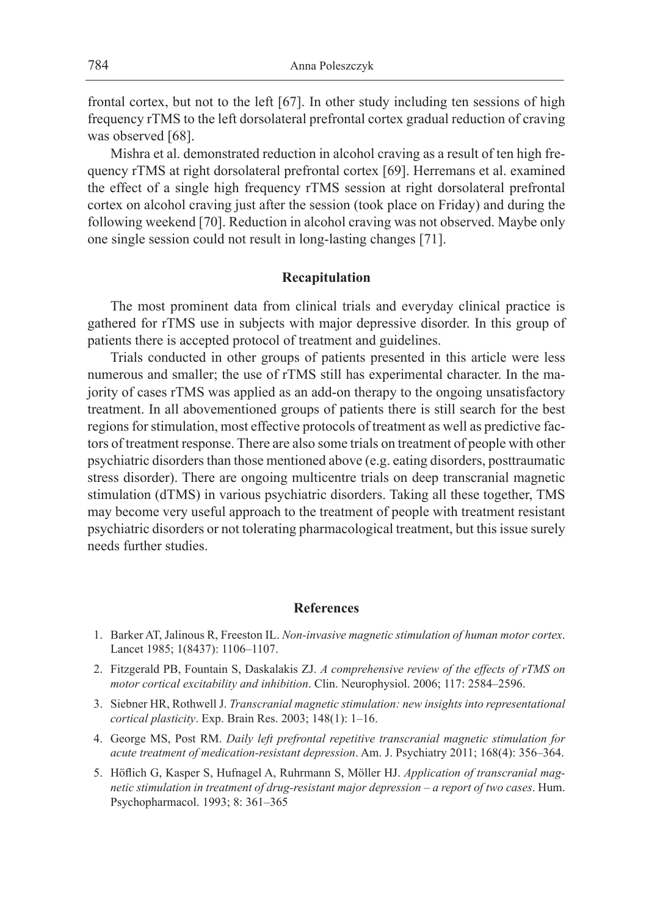frontal cortex, but not to the left [67]. In other study including ten sessions of high frequency rTMS to the left dorsolateral prefrontal cortex gradual reduction of craving was observed [68].

Mishra et al. demonstrated reduction in alcohol craving as a result of ten high frequency rTMS at right dorsolateral prefrontal cortex [69]. Herremans et al. examined the effect of a single high frequency rTMS session at right dorsolateral prefrontal cortex on alcohol craving just after the session (took place on Friday) and during the following weekend [70]. Reduction in alcohol craving was not observed. Maybe only one single session could not result in long-lasting changes [71].

#### **Recapitulation**

The most prominent data from clinical trials and everyday clinical practice is gathered for rTMS use in subjects with major depressive disorder. In this group of patients there is accepted protocol of treatment and guidelines.

Trials conducted in other groups of patients presented in this article were less numerous and smaller; the use of rTMS still has experimental character. In the majority of cases rTMS was applied as an add-on therapy to the ongoing unsatisfactory treatment. In all abovementioned groups of patients there is still search for the best regions for stimulation, most effective protocols of treatment as well as predictive factors of treatment response. There are also some trials on treatment of people with other psychiatric disorders than those mentioned above (e.g. eating disorders, posttraumatic stress disorder). There are ongoing multicentre trials on deep transcranial magnetic stimulation (dTMS) in various psychiatric disorders. Taking all these together, TMS may become very useful approach to the treatment of people with treatment resistant psychiatric disorders or not tolerating pharmacological treatment, but this issue surely needs further studies.

#### **References**

- 1. Barker AT, Jalinous R, Freeston IL. *Non-invasive magnetic stimulation of human motor cortex*. Lancet 1985; 1(8437): 1106–1107.
- 2. Fitzgerald PB, Fountain S, Daskalakis ZJ. *A comprehensive review of the effects of rTMS on motor cortical excitability and inhibition*. Clin. Neurophysiol. 2006; 117: 2584–2596.
- 3. Siebner HR, Rothwell J. *Transcranial magnetic stimulation: new insights into representational cortical plasticity*. Exp. Brain Res. 2003; 148(1): 1–16.
- 4. George MS, Post RM. *Daily left prefrontal repetitive transcranial magnetic stimulation for acute treatment of medication-resistant depression*. Am. J. Psychiatry 2011; 168(4): 356–364.
- 5. Höflich G, Kasper S, Hufnagel A, Ruhrmann S, Möller HJ. *Application of transcranial magnetic stimulation in treatment of drug-resistant major depression – a report of two cases*. Hum. Psychopharmacol. 1993; 8: 361–365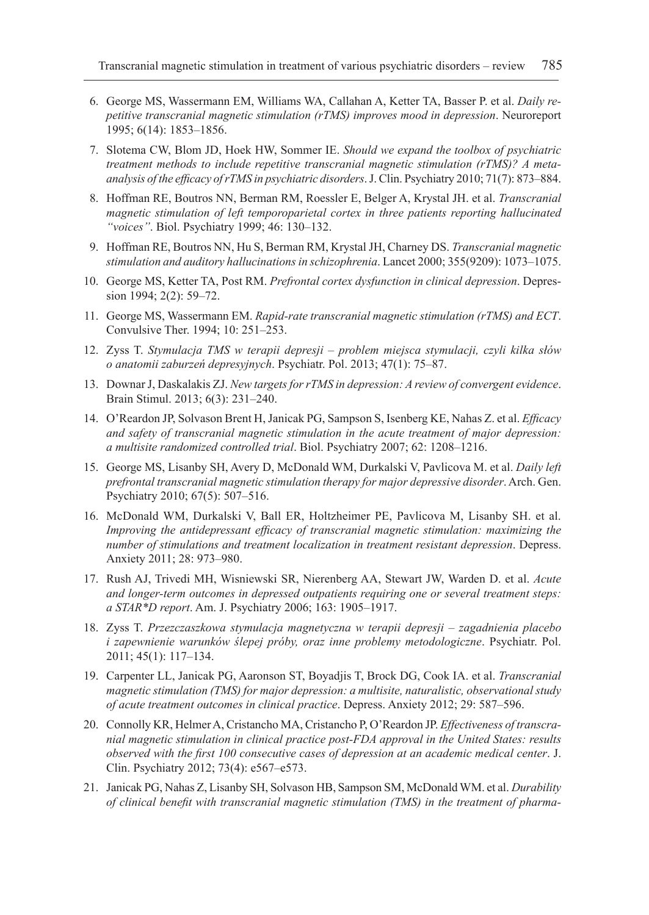- 6. George MS, Wassermann EM, Williams WA, Callahan A, Ketter TA, Basser P. et al. *Daily repetitive transcranial magnetic stimulation (rTMS) improves mood in depression*. Neuroreport 1995; 6(14): 1853–1856.
- 7. Slotema CW, Blom JD, Hoek HW, Sommer IE. *Should we expand the toolbox of psychiatric treatment methods to include repetitive transcranial magnetic stimulation (rTMS)? A metaanalysis of the efficacy of rTMS in psychiatric disorders*. J. Clin. Psychiatry 2010; 71(7): 873–884.
- 8. Hoffman RE, Boutros NN, Berman RM, Roessler E, Belger A, Krystal JH. et al. *Transcranial magnetic stimulation of left temporoparietal cortex in three patients reporting hallucinated "voices"*. Biol. Psychiatry 1999; 46: 130–132.
- 9. Hoffman RE, Boutros NN, Hu S, Berman RM, Krystal JH, Charney DS. *Transcranial magnetic stimulation and auditory hallucinations in schizophrenia*. Lancet 2000; 355(9209): 1073–1075.
- 10. George MS, Ketter TA, Post RM. *Prefrontal cortex dysfunction in clinical depression*. Depression 1994; 2(2): 59–72.
- 11. George MS, Wassermann EM. *Rapid-rate transcranial magnetic stimulation (rTMS) and ECT*. Convulsive Ther. 1994; 10: 251–253.
- 12. Zyss T. *Stymulacja TMS w terapii depresji problem miejsca stymulacji, czyli kilka słów o anatomii zaburzeń depresyjnych*. Psychiatr. Pol. 2013; 47(1): 75–87.
- 13. Downar J, Daskalakis ZJ. *New targets for rTMS in depression: A review of convergent evidence*. Brain Stimul. 2013; 6(3): 231–240.
- 14. O'Reardon JP, Solvason Brent H, Janicak PG, Sampson S, Isenberg KE, Nahas Z. et al. *Efficacy and safety of transcranial magnetic stimulation in the acute treatment of major depression: a multisite randomized controlled trial*. Biol. Psychiatry 2007; 62: 1208–1216.
- 15. George MS, Lisanby SH, Avery D, McDonald WM, Durkalski V, Pavlicova M. et al. *Daily left prefrontal transcranial magnetic stimulation therapy for major depressive disorder*. Arch. Gen. Psychiatry 2010; 67(5): 507–516.
- 16. McDonald WM, Durkalski V, Ball ER, Holtzheimer PE, Pavlicova M, Lisanby SH. et al. *Improving the antidepressant efficacy of transcranial magnetic stimulation: maximizing the number of stimulations and treatment localization in treatment resistant depression*. Depress. Anxiety 2011; 28: 973–980.
- 17. Rush AJ, Trivedi MH, Wisniewski SR, Nierenberg AA, Stewart JW, Warden D. et al. *Acute and longer-term outcomes in depressed outpatients requiring one or several treatment steps: a STAR\*D report*. Am. J. Psychiatry 2006; 163: 1905–1917.
- 18. Zyss T. *Przezczaszkowa stymulacja magnetyczna w terapii depresji zagadnienia placebo i zapewnienie warunków ślepej próby, oraz inne problemy metodologiczne*. Psychiatr. Pol. 2011; 45(1): 117–134.
- 19. Carpenter LL, Janicak PG, Aaronson ST, Boyadjis T, Brock DG, Cook IA. et al. *Transcranial magnetic stimulation (TMS) for major depression: a multisite, naturalistic, observational study of acute treatment outcomes in clinical practice*. Depress. Anxiety 2012; 29: 587–596.
- 20. Connolly KR, Helmer A, Cristancho MA, Cristancho P, O'Reardon JP. *Effectiveness of transcranial magnetic stimulation in clinical practice post-FDA approval in the United States: results observed with the first 100 consecutive cases of depression at an academic medical center*. J. Clin. Psychiatry 2012; 73(4): e567–e573.
- 21. Janicak PG, Nahas Z, Lisanby SH, Solvason HB, Sampson SM, McDonald WM. et al. *Durability of clinical benefit with transcranial magnetic stimulation (TMS) in the treatment of pharma-*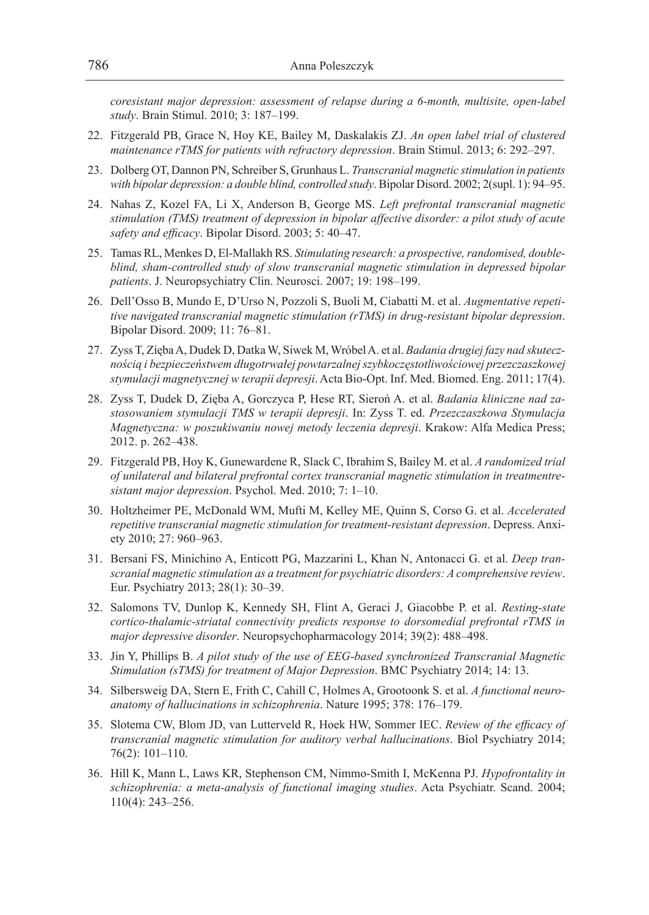*coresistant major depression: assessment of relapse during a 6-month, multisite, open-label study*. Brain Stimul. 2010; 3: 187–199.

- 22. Fitzgerald PB, Grace N, Hoy KE, Bailey M, Daskalakis ZJ. *An open label trial of clustered maintenance rTMS for patients with refractory depression*. Brain Stimul. 2013; 6: 292–297.
- 23. Dolberg OT, Dannon PN, Schreiber S, Grunhaus L. *Transcranial magnetic stimulation in patients with bipolar depression: a double blind, controlled study*. Bipolar Disord. 2002; 2(supl. 1): 94–95.
- 24. Nahas Z, Kozel FA, Li X, Anderson B, George MS. *Left prefrontal transcranial magnetic stimulation (TMS) treatment of depression in bipolar affective disorder: a pilot study of acute safety and efficacy*. Bipolar Disord. 2003; 5: 40–47.
- 25. Tamas RL, Menkes D, El-Mallakh RS. *Stimulating research: a prospective, randomised, doubleblind, sham-controlled study of slow transcranial magnetic stimulation in depressed bipolar patients*. J. Neuropsychiatry Clin. Neurosci. 2007; 19: 198–199.
- 26. Dell'Osso B, Mundo E, D'Urso N, Pozzoli S, Buoli M, Ciabatti M. et al. *Augmentative repetitive navigated transcranial magnetic stimulation (rTMS) in drug-resistant bipolar depression*. Bipolar Disord. 2009; 11: 76–81.
- 27. Zyss T, Zięba A, Dudek D, Datka W, Siwek M, Wróbel A. et al. *Badania drugiej fazy nad skutecznością i bezpieczeństwem długotrwałej powtarzalnej szybkoczęstotliwościowej przezczaszkowej stymulacji magnetycznej w terapii depresji*. Acta Bio-Opt. Inf. Med. Biomed. Eng. 2011; 17(4).
- 28. Zyss T, Dudek D, Zięba A, Gorczyca P, Hese RT, Sieroń A. et al. *Badania kliniczne nad zastosowaniem stymulacji TMS w terapii depresji*. In: Zyss T. ed. *Przezczaszkowa Stymulacja Magnetyczna: w poszukiwaniu nowej metody leczenia depresji*. Krakow: Alfa Medica Press; 2012. p. 262–438.
- 29. Fitzgerald PB, Hoy K, Gunewardene R, Slack C, Ibrahim S, Bailey M. et al. *A randomized trial of unilateral and bilateral prefrontal cortex transcranial magnetic stimulation in treatmentresistant major depression*. Psychol. Med. 2010; 7: 1–10.
- 30. Holtzheimer PE, McDonald WM, Mufti M, Kelley ME, Quinn S, Corso G. et al. *Accelerated repetitive transcranial magnetic stimulation for treatment-resistant depression*. Depress. Anxiety 2010; 27: 960–963.
- 31. Bersani FS, Minichino A, Enticott PG, Mazzarini L, Khan N, Antonacci G. et al. *Deep transcranial magnetic stimulation as a treatment for psychiatric disorders: A comprehensive review*. Eur. Psychiatry 2013; 28(1): 30–39.
- 32. Salomons TV, Dunlop K, Kennedy SH, Flint A, Geraci J, Giacobbe P. et al. *Resting-state cortico-thalamic-striatal connectivity predicts response to dorsomedial prefrontal rTMS in major depressive disorder*. Neuropsychopharmacology 2014; 39(2): 488–498.
- 33. Jin Y, Phillips B. *A pilot study of the use of EEG-based synchronized Transcranial Magnetic Stimulation (sTMS) for treatment of Major Depression*. BMC Psychiatry 2014; 14: 13.
- 34. Silbersweig DA, Stern E, Frith C, Cahill C, Holmes A, Grootoonk S. et al. *A functional neuroanatomy of hallucinations in schizophrenia*. Nature 1995; 378: 176–179.
- 35. Slotema CW, Blom JD, van Lutterveld R, Hoek HW, Sommer IEC. *Review of the efficacy of transcranial magnetic stimulation for auditory verbal hallucinations*. Biol Psychiatry 2014; 76(2): 101–110.
- 36. Hill K, Mann L, Laws KR, Stephenson CM, Nimmo-Smith I, McKenna PJ. *Hypofrontality in schizophrenia: a meta-analysis of functional imaging studies*. Acta Psychiatr. Scand. 2004; 110(4): 243–256.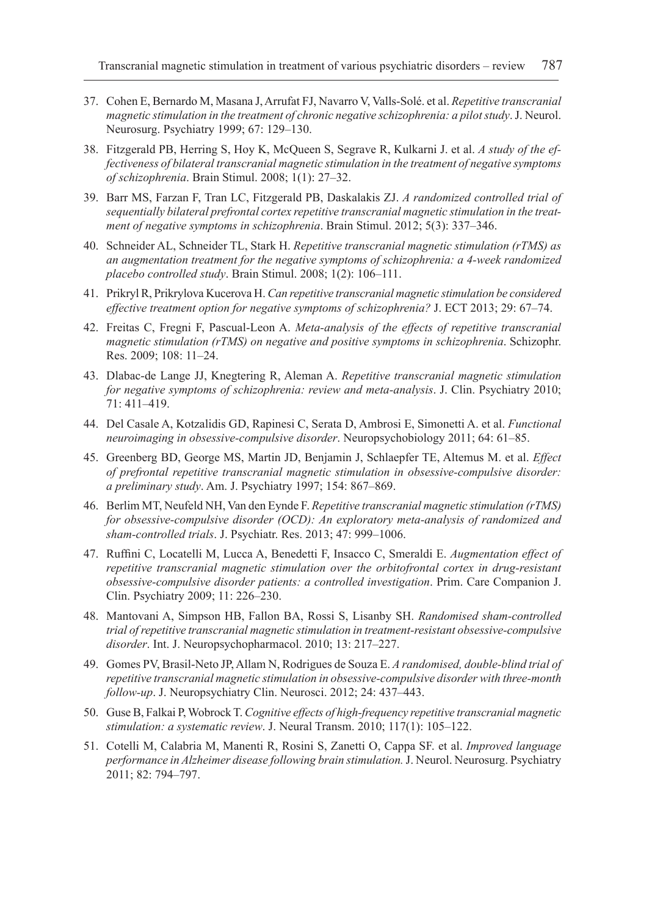- 37. Cohen E, Bernardo M, Masana J, Arrufat FJ, Navarro V, Valls-Solé. et al. *Repetitive transcranial magnetic stimulation in the treatment of chronic negative schizophrenia: a pilot study*. J. Neurol. Neurosurg. Psychiatry 1999; 67: 129–130.
- 38. Fitzgerald PB, Herring S, Hoy K, McQueen S, Segrave R, Kulkarni J. et al. *A study of the effectiveness of bilateral transcranial magnetic stimulation in the treatment of negative symptoms of schizophrenia*. Brain Stimul. 2008; 1(1): 27–32.
- 39. Barr MS, Farzan F, Tran LC, Fitzgerald PB, Daskalakis ZJ. *A randomized controlled trial of sequentially bilateral prefrontal cortex repetitive transcranial magnetic stimulation in the treatment of negative symptoms in schizophrenia*. Brain Stimul. 2012; 5(3): 337–346.
- 40. Schneider AL, Schneider TL, Stark H. *Repetitive transcranial magnetic stimulation (rTMS) as an augmentation treatment for the negative symptoms of schizophrenia: a 4-week randomized placebo controlled study*. Brain Stimul. 2008; 1(2): 106–111.
- 41. Prikryl R, Prikrylova Kucerova H. *Can repetitive transcranial magnetic stimulation be considered effective treatment option for negative symptoms of schizophrenia?* J. ECT 2013; 29: 67–74.
- 42. Freitas C, Fregni F, Pascual-Leon A. *Meta-analysis of the effects of repetitive transcranial magnetic stimulation (rTMS) on negative and positive symptoms in schizophrenia*. Schizophr. Res. 2009; 108: 11–24.
- 43. Dlabac-de Lange JJ, Knegtering R, Aleman A. *Repetitive transcranial magnetic stimulation for negative symptoms of schizophrenia: review and meta-analysis*. J. Clin. Psychiatry 2010; 71: 411–419.
- 44. Del Casale A, Kotzalidis GD, Rapinesi C, Serata D, Ambrosi E, Simonetti A. et al. *Functional neuroimaging in obsessive-compulsive disorder*. Neuropsychobiology 2011; 64: 61–85.
- 45. Greenberg BD, George MS, Martin JD, Benjamin J, Schlaepfer TE, Altemus M. et al. *Effect of prefrontal repetitive transcranial magnetic stimulation in obsessive-compulsive disorder: a preliminary study*. Am. J. Psychiatry 1997; 154: 867–869.
- 46. Berlim MT, Neufeld NH, Van den Eynde F. *Repetitive transcranial magnetic stimulation (rTMS) for obsessive-compulsive disorder (OCD): An exploratory meta-analysis of randomized and sham-controlled trials*. J. Psychiatr. Res. 2013; 47: 999–1006.
- 47. Ruffini C, Locatelli M, Lucca A, Benedetti F, Insacco C, Smeraldi E. *Augmentation effect of repetitive transcranial magnetic stimulation over the orbitofrontal cortex in drug-resistant obsessive-compulsive disorder patients: a controlled investigation*. Prim. Care Companion J. Clin. Psychiatry 2009; 11: 226–230.
- 48. Mantovani A, Simpson HB, Fallon BA, Rossi S, Lisanby SH. *Randomised sham-controlled trial of repetitive transcranial magnetic stimulation in treatment-resistant obsessive-compulsive disorder*. Int. J. Neuropsychopharmacol. 2010; 13: 217–227.
- 49. Gomes PV, Brasil-Neto JP, Allam N, Rodrigues de Souza E. *A randomised, double-blind trial of repetitive transcranial magnetic stimulation in obsessive-compulsive disorder with three-month follow-up*. J. Neuropsychiatry Clin. Neurosci. 2012; 24: 437–443.
- 50. Guse B, Falkai P, Wobrock T. *Cognitive effects of high-frequency repetitive transcranial magnetic stimulation: a systematic review*. J. Neural Transm. 2010; 117(1): 105–122.
- 51. Cotelli M, Calabria M, Manenti R, Rosini S, Zanetti O, Cappa SF. et al. *Improved language performance in Alzheimer disease following brain stimulation.* J. Neurol. Neurosurg. Psychiatry 2011; 82: 794–797.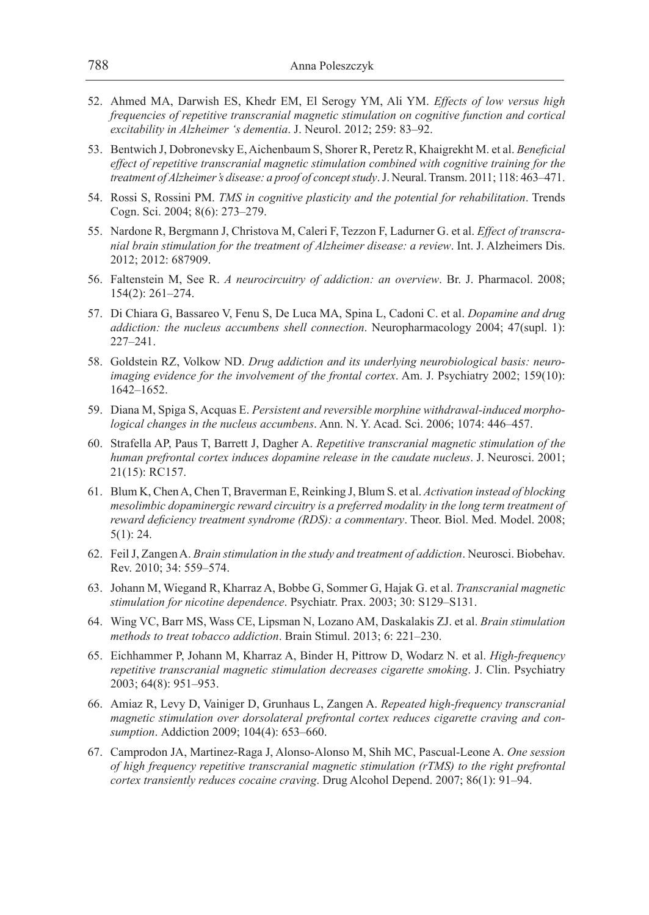- 52. Ahmed MA, Darwish ES, Khedr EM, El Serogy YM, Ali YM. *Effects of low versus high frequencies of repetitive transcranial magnetic stimulation on cognitive function and cortical excitability in Alzheimer 's dementia*. J. Neurol. 2012; 259: 83–92.
- 53. Bentwich J, Dobronevsky E, Aichenbaum S, Shorer R, Peretz R, Khaigrekht M. et al. *Beneficial effect of repetitive transcranial magnetic stimulation combined with cognitive training for the treatment of Alzheimer's disease: a proof of concept study*. J. Neural. Transm. 2011; 118: 463–471.
- 54. Rossi S, Rossini PM. *TMS in cognitive plasticity and the potential for rehabilitation*. Trends Cogn. Sci. 2004; 8(6): 273–279.
- 55. Nardone R, Bergmann J, Christova M, Caleri F, Tezzon F, Ladurner G. et al. *Effect of transcranial brain stimulation for the treatment of Alzheimer disease: a review*. Int. J. Alzheimers Dis. 2012; 2012: 687909.
- 56. Faltenstein M, See R. *A neurocircuitry of addiction: an overview*. Br. J. Pharmacol. 2008; 154(2): 261–274.
- 57. Di Chiara G, Bassareo V, Fenu S, De Luca MA, Spina L, Cadoni C. et al. *Dopamine and drug addiction: the nucleus accumbens shell connection*. Neuropharmacology 2004; 47(supl. 1): 227–241.
- 58. Goldstein RZ, Volkow ND. *Drug addiction and its underlying neurobiological basis: neuroimaging evidence for the involvement of the frontal cortex*. Am. J. Psychiatry 2002; 159(10): 1642–1652.
- 59. Diana M, Spiga S, Acquas E. *Persistent and reversible morphine withdrawal-induced morphological changes in the nucleus accumbens*. Ann. N. Y. Acad. Sci. 2006; 1074: 446–457.
- 60. Strafella AP, Paus T, Barrett J, Dagher A. *Repetitive transcranial magnetic stimulation of the human prefrontal cortex induces dopamine release in the caudate nucleus*. J. Neurosci. 2001; 21(15): RC157.
- 61. Blum K, Chen A, Chen T, Braverman E, Reinking J, Blum S. et al. *Activation instead of blocking mesolimbic dopaminergic reward circuitry is a preferred modality in the long term treatment of reward deficiency treatment syndrome (RDS): a commentary*. Theor. Biol. Med. Model. 2008; 5(1): 24.
- 62. Feil J, Zangen A. *Brain stimulation in the study and treatment of addiction*. Neurosci. Biobehav. Rev. 2010; 34: 559–574.
- 63. Johann M, Wiegand R, Kharraz A, Bobbe G, Sommer G, Hajak G. et al. *Transcranial magnetic stimulation for nicotine dependence*. Psychiatr. Prax. 2003; 30: S129–S131.
- 64. Wing VC, Barr MS, Wass CE, Lipsman N, Lozano AM, Daskalakis ZJ. et al. *Brain stimulation methods to treat tobacco addiction*. Brain Stimul. 2013; 6: 221–230.
- 65. Eichhammer P, Johann M, Kharraz A, Binder H, Pittrow D, Wodarz N. et al. *High-frequency repetitive transcranial magnetic stimulation decreases cigarette smoking*. J. Clin. Psychiatry 2003; 64(8): 951–953.
- 66. Amiaz R, Levy D, Vainiger D, Grunhaus L, Zangen A. *Repeated high-frequency transcranial magnetic stimulation over dorsolateral prefrontal cortex reduces cigarette craving and consumption*. Addiction 2009; 104(4): 653–660.
- 67. Camprodon JA, Martinez-Raga J, Alonso-Alonso M, Shih MC, Pascual-Leone A. *One session of high frequency repetitive transcranial magnetic stimulation (rTMS) to the right prefrontal cortex transiently reduces cocaine craving*. Drug Alcohol Depend. 2007; 86(1): 91–94.